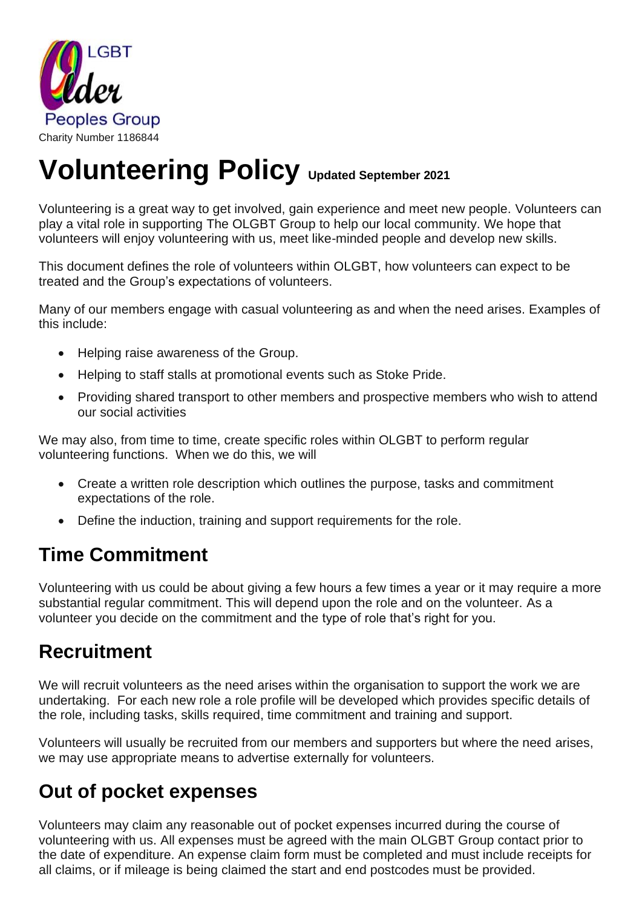

# **Volunteering Policy Updated September <sup>2021</sup>**

Volunteering is a great way to get involved, gain experience and meet new people. Volunteers can play a vital role in supporting The OLGBT Group to help our local community. We hope that volunteers will enjoy volunteering with us, meet like-minded people and develop new skills.

This document defines the role of volunteers within OLGBT, how volunteers can expect to be treated and the Group's expectations of volunteers.

Many of our members engage with casual volunteering as and when the need arises. Examples of this include:

- Helping raise awareness of the Group.
- Helping to staff stalls at promotional events such as Stoke Pride.
- Providing shared transport to other members and prospective members who wish to attend our social activities

We may also, from time to time, create specific roles within OLGBT to perform regular volunteering functions. When we do this, we will

- Create a written role description which outlines the purpose, tasks and commitment expectations of the role.
- Define the induction, training and support requirements for the role.

### **Time Commitment**

Volunteering with us could be about giving a few hours a few times a year or it may require a more substantial regular commitment. This will depend upon the role and on the volunteer. As a volunteer you decide on the commitment and the type of role that's right for you.

#### **Recruitment**

We will recruit volunteers as the need arises within the organisation to support the work we are undertaking. For each new role a role profile will be developed which provides specific details of the role, including tasks, skills required, time commitment and training and support.

Volunteers will usually be recruited from our members and supporters but where the need arises, we may use appropriate means to advertise externally for volunteers.

## **Out of pocket expenses**

Volunteers may claim any reasonable out of pocket expenses incurred during the course of volunteering with us. All expenses must be agreed with the main OLGBT Group contact prior to the date of expenditure. An expense claim form must be completed and must include receipts for all claims, or if mileage is being claimed the start and end postcodes must be provided.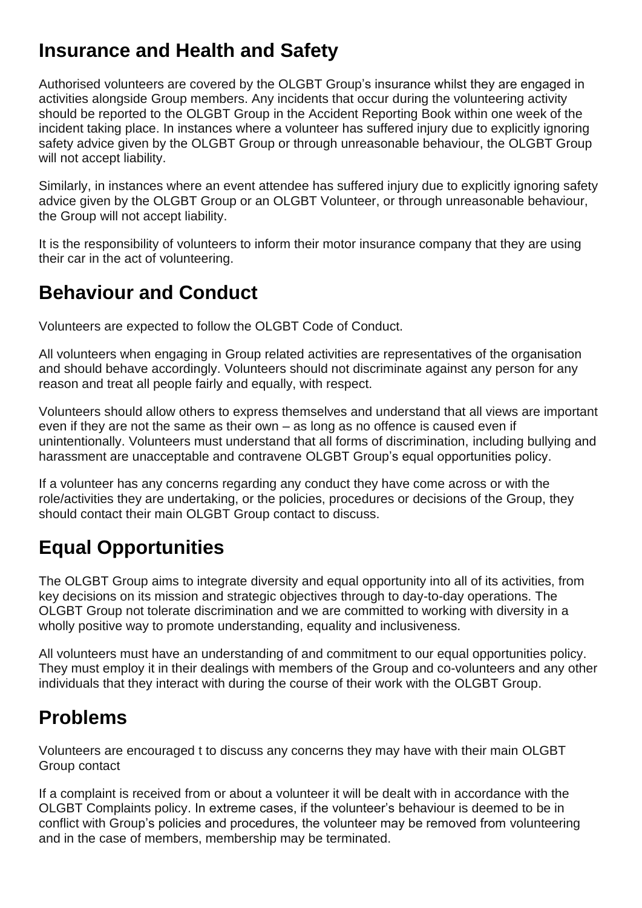### **Insurance and Health and Safety**

Authorised volunteers are covered by the OLGBT Group's insurance whilst they are engaged in activities alongside Group members. Any incidents that occur during the volunteering activity should be reported to the OLGBT Group in the Accident Reporting Book within one week of the incident taking place. In instances where a volunteer has suffered injury due to explicitly ignoring safety advice given by the OLGBT Group or through unreasonable behaviour, the OLGBT Group will not accept liability.

Similarly, in instances where an event attendee has suffered injury due to explicitly ignoring safety advice given by the OLGBT Group or an OLGBT Volunteer, or through unreasonable behaviour, the Group will not accept liability.

It is the responsibility of volunteers to inform their motor insurance company that they are using their car in the act of volunteering.

### **Behaviour and Conduct**

Volunteers are expected to follow the OLGBT Code of Conduct.

All volunteers when engaging in Group related activities are representatives of the organisation and should behave accordingly. Volunteers should not discriminate against any person for any reason and treat all people fairly and equally, with respect.

Volunteers should allow others to express themselves and understand that all views are important even if they are not the same as their own – as long as no offence is caused even if unintentionally. Volunteers must understand that all forms of discrimination, including bullying and harassment are unacceptable and contravene OLGBT Group's equal opportunities policy.

If a volunteer has any concerns regarding any conduct they have come across or with the role/activities they are undertaking, or the policies, procedures or decisions of the Group, they should contact their main OLGBT Group contact to discuss.

# **Equal Opportunities**

The OLGBT Group aims to integrate diversity and equal opportunity into all of its activities, from key decisions on its mission and strategic objectives through to day-to-day operations. The OLGBT Group not tolerate discrimination and we are committed to working with diversity in a wholly positive way to promote understanding, equality and inclusiveness.

All volunteers must have an understanding of and commitment to our equal opportunities policy. They must employ it in their dealings with members of the Group and co-volunteers and any other individuals that they interact with during the course of their work with the OLGBT Group.

# **Problems**

Volunteers are encouraged t to discuss any concerns they may have with their main OLGBT Group contact

If a complaint is received from or about a volunteer it will be dealt with in accordance with the OLGBT Complaints policy. In extreme cases, if the volunteer's behaviour is deemed to be in conflict with Group's policies and procedures, the volunteer may be removed from volunteering and in the case of members, membership may be terminated.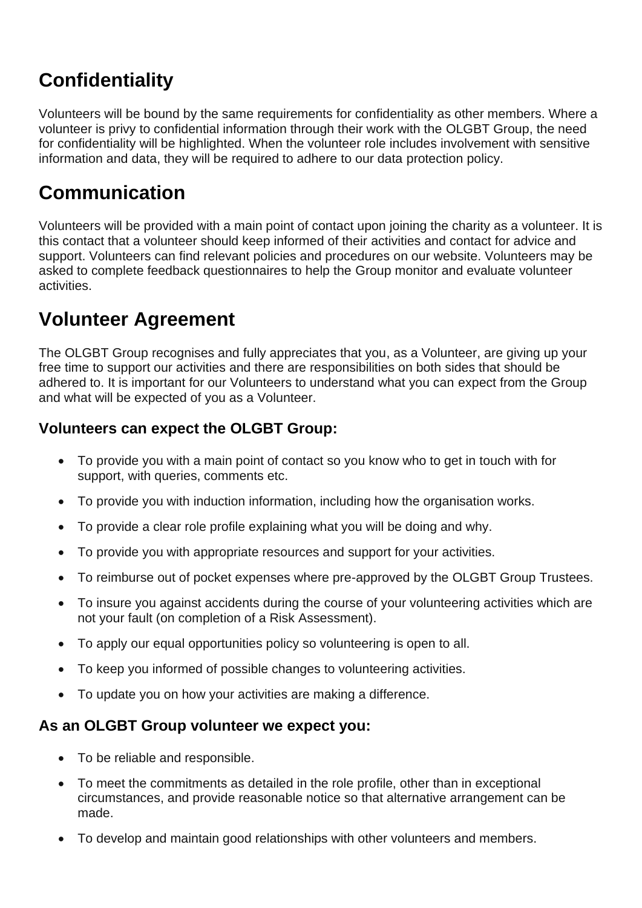# **Confidentiality**

Volunteers will be bound by the same requirements for confidentiality as other members. Where a volunteer is privy to confidential information through their work with the OLGBT Group, the need for confidentiality will be highlighted. When the volunteer role includes involvement with sensitive information and data, they will be required to adhere to our data protection policy.

### **Communication**

Volunteers will be provided with a main point of contact upon joining the charity as a volunteer. It is this contact that a volunteer should keep informed of their activities and contact for advice and support. Volunteers can find relevant policies and procedures on our website. Volunteers may be asked to complete feedback questionnaires to help the Group monitor and evaluate volunteer activities.

# **Volunteer Agreement**

The OLGBT Group recognises and fully appreciates that you, as a Volunteer, are giving up your free time to support our activities and there are responsibilities on both sides that should be adhered to. It is important for our Volunteers to understand what you can expect from the Group and what will be expected of you as a Volunteer.

#### **Volunteers can expect the OLGBT Group:**

- To provide you with a main point of contact so you know who to get in touch with for support, with queries, comments etc.
- To provide you with induction information, including how the organisation works.
- To provide a clear role profile explaining what you will be doing and why.
- To provide you with appropriate resources and support for your activities.
- To reimburse out of pocket expenses where pre-approved by the OLGBT Group Trustees.
- To insure you against accidents during the course of your volunteering activities which are not your fault (on completion of a Risk Assessment).
- To apply our equal opportunities policy so volunteering is open to all.
- To keep you informed of possible changes to volunteering activities.
- To update you on how your activities are making a difference.

#### **As an OLGBT Group volunteer we expect you:**

- To be reliable and responsible.
- To meet the commitments as detailed in the role profile, other than in exceptional circumstances, and provide reasonable notice so that alternative arrangement can be made.
- To develop and maintain good relationships with other volunteers and members.